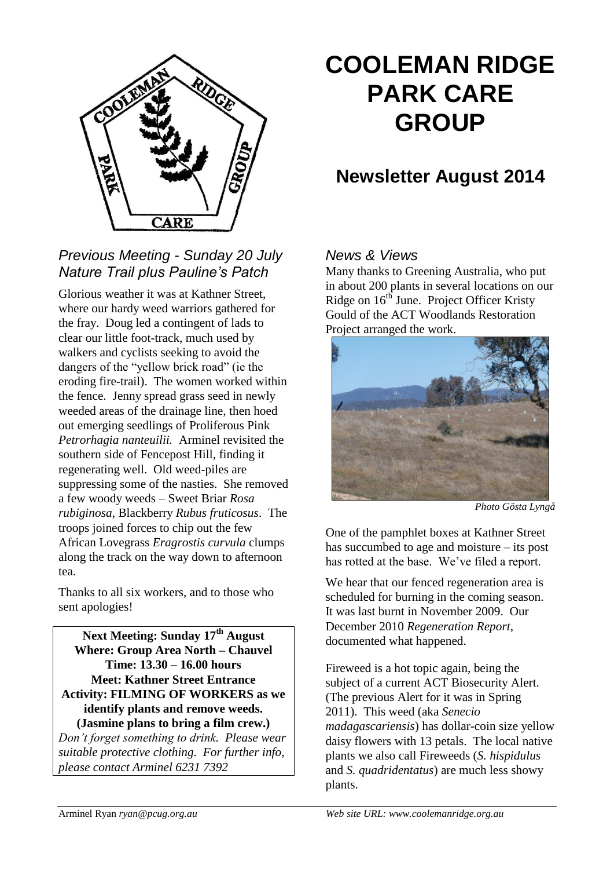

## *Previous Meeting - Sunday 20 July Nature Trail plus Pauline's Patch*

Glorious weather it was at Kathner Street, where our hardy weed warriors gathered for the fray. Doug led a contingent of lads to clear our little foot-track, much used by walkers and cyclists seeking to avoid the dangers of the "yellow brick road" (ie the eroding fire-trail). The women worked within the fence. Jenny spread grass seed in newly weeded areas of the drainage line, then hoed out emerging seedlings of Proliferous Pink *Petrorhagia nanteuilii.* Arminel revisited the southern side of Fencepost Hill, finding it regenerating well. Old weed-piles are suppressing some of the nasties. She removed a few woody weeds – Sweet Briar *Rosa rubiginosa*, Blackberry *Rubus fruticosus*. The troops joined forces to chip out the few African Lovegrass *Eragrostis curvula* clumps along the track on the way down to afternoon tea.

Thanks to all six workers, and to those who sent apologies!

**Next Meeting: Sunday 17th August Where: Group Area North – Chauvel Time: 13.30 – 16.00 hours Meet: Kathner Street Entrance Activity: FILMING OF WORKERS as we identify plants and remove weeds. (Jasmine plans to bring a film crew.)**

*Don't forget something to drink. Please wear suitable protective clothing. For further info, please contact Arminel 6231 7392*

# **COOLEMAN RIDGE PARK CARE GROUP**

## **Newsletter August 2014**

## *News & Views*

Many thanks to Greening Australia, who put in about 200 plants in several locations on our Ridge on  $16<sup>th</sup>$  June. Project Officer Kristy Gould of the ACT Woodlands Restoration Project arranged the work.



*Photo Gösta Lyngå*

One of the pamphlet boxes at Kathner Street has succumbed to age and moisture – its post has rotted at the base. We've filed a report.

We hear that our fenced regeneration area is scheduled for burning in the coming season. It was last burnt in November 2009. Our December 2010 *Regeneration Report*, documented what happened.

Fireweed is a hot topic again, being the subject of a current ACT Biosecurity Alert. (The previous Alert for it was in Spring 2011). This weed (aka *Senecio madagascariensis*) has dollar-coin size yellow daisy flowers with 13 petals. The local native plants we also call Fireweeds (*S. hispidulus*  and *S. quadridentatus*) are much less showy plants.